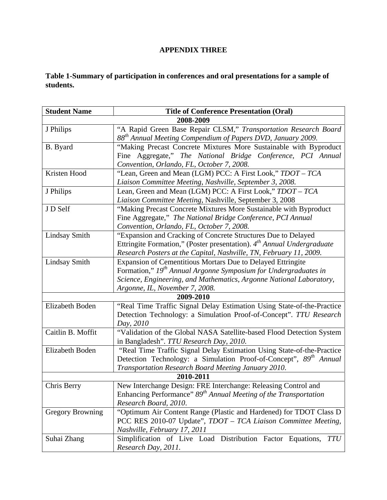## **APPENDIX THREE**

## **Table 1-Summary of participation in conferences and oral presentations for a sample of students.**

| <b>Student Name</b>            | <b>Title of Conference Presentation (Oral)</b>                                     |  |  |  |
|--------------------------------|------------------------------------------------------------------------------------|--|--|--|
|                                | 2008-2009                                                                          |  |  |  |
| J Philips                      | "A Rapid Green Base Repair CLSM," Transportation Research Board                    |  |  |  |
|                                | 88 <sup>th</sup> Annual Meeting Compendium of Papers DVD, January 2009.            |  |  |  |
| B. Byard                       | "Making Precast Concrete Mixtures More Sustainable with Byproduct                  |  |  |  |
|                                | Fine Aggregate," The National Bridge Conference, PCI Annual                        |  |  |  |
|                                | Convention, Orlando, FL, October 7, 2008.                                          |  |  |  |
| Kristen Hood                   | "Lean, Green and Mean (LGM) PCC: A First Look," TDOT – TCA                         |  |  |  |
|                                | Liaison Committee Meeting, Nashville, September 3, 2008.                           |  |  |  |
| J Philips                      | Lean, Green and Mean (LGM) PCC: A First Look," TDOT - TCA                          |  |  |  |
|                                | Liaison Committee Meeting, Nashville, September 3, 2008                            |  |  |  |
| J D Self                       | "Making Precast Concrete Mixtures More Sustainable with Byproduct                  |  |  |  |
|                                | Fine Aggregate," The National Bridge Conference, PCI Annual                        |  |  |  |
|                                | Convention, Orlando, FL, October 7, 2008.                                          |  |  |  |
| <b>Lindsay Smith</b>           | "Expansion and Cracking of Concrete Structures Due to Delayed                      |  |  |  |
|                                | Ettringite Formation," (Poster presentation). 4 <sup>th</sup> Annual Undergraduate |  |  |  |
|                                | Research Posters at the Capital, Nashville, TN, February 11, 2009.                 |  |  |  |
| <b>Lindsay Smith</b>           | Expansion of Cementitious Mortars Due to Delayed Ettringite                        |  |  |  |
|                                | Formation," 19 <sup>th</sup> Annual Argonne Symposium for Undergraduates in        |  |  |  |
|                                | Science, Engineering, and Mathematics, Argonne National Laboratory,                |  |  |  |
| Argonne, IL, November 7, 2008. |                                                                                    |  |  |  |
|                                | 2009-2010                                                                          |  |  |  |
| Elizabeth Boden                | "Real Time Traffic Signal Delay Estimation Using State-of-the-Practice             |  |  |  |
|                                | Detection Technology: a Simulation Proof-of-Concept". TTU Research                 |  |  |  |
|                                | Day, 2010                                                                          |  |  |  |
| Caitlin B. Moffit              | "Validation of the Global NASA Satellite-based Flood Detection System              |  |  |  |
|                                | in Bangladesh". TTU Research Day, 2010.                                            |  |  |  |
| Elizabeth Boden                | "Real Time Traffic Signal Delay Estimation Using State-of-the-Practice             |  |  |  |
|                                | Detection Technology: a Simulation Proof-of-Concept", 89 <sup>th</sup> Annual      |  |  |  |
|                                | Transportation Research Board Meeting January 2010.                                |  |  |  |
|                                | 2010-2011                                                                          |  |  |  |
| Chris Berry                    | New Interchange Design: FRE Interchange: Releasing Control and                     |  |  |  |
|                                | Enhancing Performance" 89 <sup>th</sup> Annual Meeting of the Transportation       |  |  |  |
|                                | Research Board, 2010.                                                              |  |  |  |
| <b>Gregory Browning</b>        | "Optimum Air Content Range (Plastic and Hardened) for TDOT Class D                 |  |  |  |
|                                | PCC RES 2010-07 Update", TDOT - TCA Liaison Committee Meeting,                     |  |  |  |
|                                | Nashville, February 17, 2011                                                       |  |  |  |
| Suhai Zhang                    | Simplification of Live Load Distribution Factor Equations,<br><i>TTU</i>           |  |  |  |
|                                | Research Day, 2011.                                                                |  |  |  |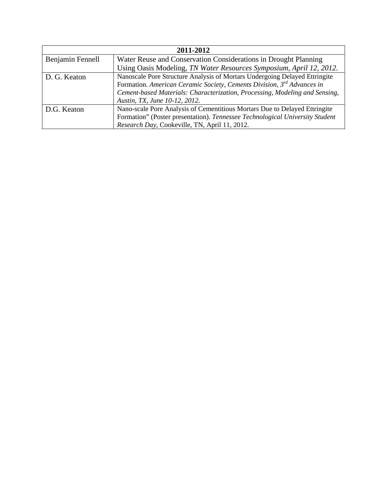|                  | 2011-2012                                                                          |  |  |  |
|------------------|------------------------------------------------------------------------------------|--|--|--|
| Benjamin Fennell | Water Reuse and Conservation Considerations in Drought Planning                    |  |  |  |
|                  | Using Oasis Modeling, TN Water Resources Symposium, April 12, 2012.                |  |  |  |
| D. G. Keaton     | Nanoscale Pore Structure Analysis of Mortars Undergoing Delayed Ettringite         |  |  |  |
|                  | Formation. American Ceramic Society, Cements Division, 3 <sup>rd</sup> Advances in |  |  |  |
|                  | Cement-based Materials: Characterization, Processing, Modeling and Sensing,        |  |  |  |
|                  | Austin, TX, June 10-12, 2012.                                                      |  |  |  |
| D.G. Keaton      | Nano-scale Pore Analysis of Cementitious Mortars Due to Delayed Ettringite         |  |  |  |
|                  | Formation" (Poster presentation). Tennessee Technological University Student       |  |  |  |
|                  | Research Day, Cookeville, TN, April 11, 2012.                                      |  |  |  |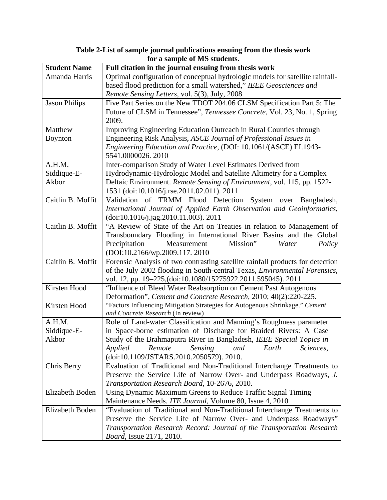| <b>Student Name</b>  | Tor a sample of the stauchts.<br>Full citation in the journal ensuing from thesis work                                                               |  |  |  |
|----------------------|------------------------------------------------------------------------------------------------------------------------------------------------------|--|--|--|
| Amanda Harris        | Optimal configuration of conceptual hydrologic models for satellite rainfall-<br>based flood prediction for a small watershed," IEEE Geosciences and |  |  |  |
|                      | Remote Sensing Letters, vol. 5(3), July, 2008                                                                                                        |  |  |  |
| <b>Jason Philips</b> | Five Part Series on the New TDOT 204.06 CLSM Specification Part 5: The                                                                               |  |  |  |
|                      | Future of CLSM in Tennessee", Tennessee Concrete, Vol. 23, No. 1, Spring<br>2009.                                                                    |  |  |  |
| Matthew              | Improving Engineering Education Outreach in Rural Counties through                                                                                   |  |  |  |
|                      | Engineering Risk Analysis, ASCE Journal of Professional Issues in                                                                                    |  |  |  |
| <b>Boynton</b>       | Engineering Education and Practice, (DOI: 10.1061/(ASCE) EI.1943-                                                                                    |  |  |  |
|                      | 5541.0000026.2010                                                                                                                                    |  |  |  |
| A.H.M.               | Inter-comparison Study of Water Level Estimates Derived from                                                                                         |  |  |  |
| Siddique-E-          | Hydrodynamic-Hydrologic Model and Satellite Altimetry for a Complex                                                                                  |  |  |  |
| Akbor                | Deltaic Environment. Remote Sensing of Environment, vol. 115, pp. 1522-                                                                              |  |  |  |
|                      | 1531 (doi:10.1016/j.rse.2011.02.011). 2011                                                                                                           |  |  |  |
| Caitlin B. Moffit    | Validation of TRMM Flood Detection<br>System over Bangladesh,                                                                                        |  |  |  |
|                      | International Journal of Applied Earth Observation and Geoinformatics,                                                                               |  |  |  |
|                      | (doi:10.1016/j.jag.2010.11.003). 2011                                                                                                                |  |  |  |
| Caitlin B. Moffit    | "A Review of State of the Art on Treaties in relation to Management of                                                                               |  |  |  |
|                      | Transboundary Flooding in International River Basins and the Global                                                                                  |  |  |  |
|                      | Precipitation<br>Measurement<br>Mission"<br>Water<br>Policy                                                                                          |  |  |  |
|                      | (DOI:10.2166/wp.2009.117.2010)                                                                                                                       |  |  |  |
| Caitlin B. Moffit    | Forensic Analysis of two contrasting satellite rainfall products for detection                                                                       |  |  |  |
|                      | of the July 2002 flooding in South-central Texas, Environmental Forensics,                                                                           |  |  |  |
|                      | vol. 12, pp. 19-225, (doi:10.1080/15275922.2011.595045). 2011                                                                                        |  |  |  |
| Kirsten Hood         | "Influence of Bleed Water Reabsorption on Cement Past Autogenous                                                                                     |  |  |  |
|                      | Deformation", Cement and Concrete Research, 2010; 40(2):220-225.                                                                                     |  |  |  |
| Kirsten Hood         | "Factors Influencing Mitigation Strategies for Autogenous Shrinkage." Cement                                                                         |  |  |  |
|                      | and Concrete Research (In review)                                                                                                                    |  |  |  |
| A.H.M.               | Role of Land-water Classification and Manning's Roughness parameter                                                                                  |  |  |  |
| Siddique-E-          | in Space-borne estimation of Discharge for Braided Rivers: A Case                                                                                    |  |  |  |
| Akbor                | Study of the Brahmaputra River in Bangladesh, IEEE Special Topics in                                                                                 |  |  |  |
|                      | <i>Applied</i><br>Remote<br>Sensing<br>Earth<br>and<br>Sciences,                                                                                     |  |  |  |
|                      | (doi:10.1109/JSTARS.2010.2050579). 2010.                                                                                                             |  |  |  |
| Chris Berry          | Evaluation of Traditional and Non-Traditional Interchange Treatments to                                                                              |  |  |  |
|                      | Preserve the Service Life of Narrow Over- and Underpass Roadways, J.                                                                                 |  |  |  |
|                      | Transportation Research Board, 10-2676, 2010.                                                                                                        |  |  |  |
| Elizabeth Boden      | Using Dynamic Maximum Greens to Reduce Traffic Signal Timing                                                                                         |  |  |  |
|                      | Maintenance Needs. ITE Journal, Volume 80, Issue 4, 2010                                                                                             |  |  |  |
| Elizabeth Boden      | "Evaluation of Traditional and Non-Traditional Interchange Treatments to                                                                             |  |  |  |
|                      | Preserve the Service Life of Narrow Over- and Underpass Roadways"                                                                                    |  |  |  |
|                      | Transportation Research Record: Journal of the Transportation Research                                                                               |  |  |  |
|                      | <i>Board</i> , Issue 2171, 2010.                                                                                                                     |  |  |  |

**Table 2-List of sample journal publications ensuing from the thesis work for a sample of MS students.**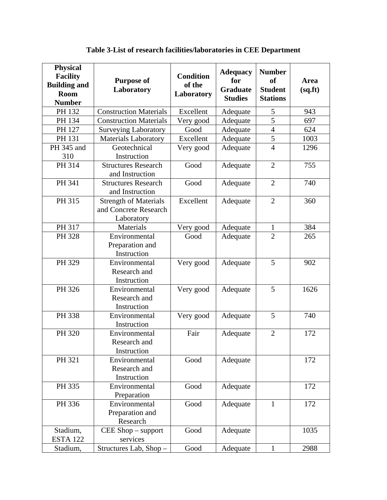| <b>Physical</b><br><b>Facility</b><br><b>Building and</b><br>Room<br><b>Number</b> | <b>Purpose of</b><br>Laboratory                                     | <b>Condition</b><br>of the<br>Laboratory | <b>Adequacy</b><br>for<br><b>Graduate</b><br><b>Studies</b> | <b>Number</b><br><sub>of</sub><br><b>Student</b><br><b>Stations</b> | <b>Area</b><br>(sq.fr) |
|------------------------------------------------------------------------------------|---------------------------------------------------------------------|------------------------------------------|-------------------------------------------------------------|---------------------------------------------------------------------|------------------------|
| PH 132                                                                             | <b>Construction Materials</b>                                       | Excellent                                | Adequate                                                    | 5                                                                   | 943                    |
| PH 134                                                                             | <b>Construction Materials</b>                                       | Very good                                | Adequate                                                    | $\overline{5}$                                                      | 697                    |
| PH 127                                                                             | <b>Surveying Laboratory</b>                                         | Good                                     | Adequate                                                    | $\overline{4}$                                                      | 624                    |
| PH 131                                                                             | <b>Materials Laboratory</b>                                         | Excellent                                | Adequate                                                    | 5                                                                   | 1003                   |
| PH 345 and<br>310                                                                  | Geotechnical<br>Instruction                                         | Very good                                | Adequate                                                    | $\overline{4}$                                                      | 1296                   |
| PH 314                                                                             | <b>Structures Research</b><br>and Instruction                       | Good                                     | Adequate                                                    | $\overline{2}$                                                      | 755                    |
| PH 341                                                                             | <b>Structures Research</b><br>and Instruction                       | Good                                     | Adequate                                                    | $\overline{2}$                                                      | 740                    |
| PH 315                                                                             | <b>Strength of Materials</b><br>and Concrete Research<br>Laboratory | Excellent                                | Adequate                                                    | $\overline{2}$                                                      | 360                    |
| PH 317                                                                             | Materials                                                           | Very good                                | Adequate                                                    | $\mathbf{1}$                                                        | 384                    |
| PH 328                                                                             | Environmental<br>Preparation and<br>Instruction                     | Good                                     | Adequate                                                    | $\overline{2}$                                                      | 265                    |
| PH 329                                                                             | Environmental<br>Research and<br>Instruction                        | Very good                                | Adequate                                                    | 5                                                                   | 902                    |
| PH 326                                                                             | Environmental<br>Research and<br>Instruction                        | Very good                                | Adequate                                                    | 5                                                                   | 1626                   |
| PH 338                                                                             | Environmental<br>Instruction                                        | Very good                                | Adequate                                                    | 5                                                                   | 740                    |
| PH 320                                                                             | Environmental<br>Research and<br>Instruction                        | Fair                                     | Adequate                                                    | $\overline{2}$                                                      | 172                    |
| PH 321                                                                             | Environmental<br>Research and<br>Instruction                        | Good                                     | Adequate                                                    |                                                                     | 172                    |
| PH 335                                                                             | Environmental<br>Preparation                                        | Good                                     | Adequate                                                    |                                                                     | 172                    |
| PH 336                                                                             | Environmental<br>Preparation and<br>Research                        | Good                                     | Adequate                                                    | $\mathbf{1}$                                                        | 172                    |
| Stadium,<br><b>ESTA 122</b>                                                        | CEE Shop - support<br>services                                      | Good                                     | Adequate                                                    |                                                                     | 1035                   |
| Stadium,                                                                           | Structures Lab, Shop-                                               | Good                                     | Adequate                                                    | $\mathbf{1}$                                                        | 2988                   |

**Table 3-List of research facilities/laboratories in CEE Department**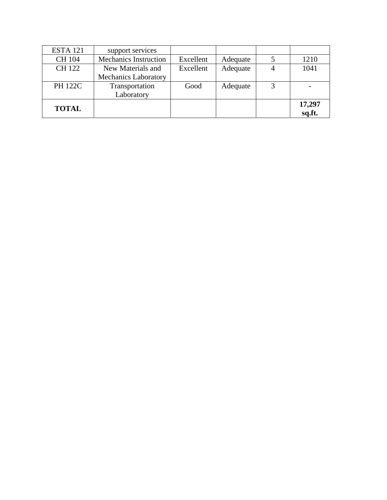| <b>ESTA 121</b> | support services             |           |          |   |        |
|-----------------|------------------------------|-----------|----------|---|--------|
| <b>CH 104</b>   | <b>Mechanics Instruction</b> | Excellent | Adequate |   | 1210   |
| <b>CH122</b>    | New Materials and            | Excellent | Adequate |   | 1041   |
|                 | <b>Mechanics Laboratory</b>  |           |          |   |        |
| <b>PH 122C</b>  | Transportation               | Good      | Adequate | 3 |        |
|                 | Laboratory                   |           |          |   |        |
| <b>TOTAL</b>    |                              |           |          |   | 17,297 |
|                 |                              |           |          |   | sq.ft. |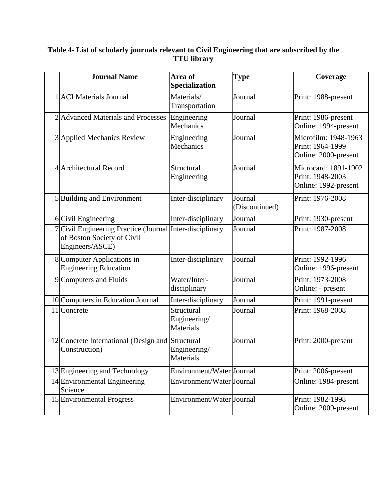| <b>Journal Name</b>                                                                                       | Area of<br>Specialization                      | <b>Type</b>               | Coverage                                                         |
|-----------------------------------------------------------------------------------------------------------|------------------------------------------------|---------------------------|------------------------------------------------------------------|
| 1 ACI Materials Journal                                                                                   | Materials/<br>Transportation                   | Journal                   | Print: 1988-present                                              |
| 2 Advanced Materials and Processes                                                                        | Engineering<br>Mechanics                       | Journal                   | Print: 1986-present<br>Online: 1994-present                      |
| 3 Applied Mechanics Review                                                                                | Engineering<br>Mechanics                       | Journal                   | Microfilm: 1948-1963<br>Print: 1964-1999<br>Online: 2000-present |
| 4 Architectural Record                                                                                    | Structural<br>Engineering                      | Journal                   | Microcard: 1891-1902<br>Print: 1948-2003<br>Online: 1992-present |
| 5 Building and Environment                                                                                | Inter-disciplinary                             | Journal<br>(Discontinued) | Print: 1976-2008                                                 |
| 6 Civil Engineering                                                                                       | Inter-disciplinary                             | Journal                   | Print: 1930-present                                              |
| 7 Civil Engineering Practice (Journal Inter-disciplinary<br>of Boston Society of Civil<br>Engineers/ASCE) |                                                | Journal                   | Print: 1987-2008                                                 |
| 8 Computer Applications in<br><b>Engineering Education</b>                                                | Inter-disciplinary                             | Journal                   | Print: 1992-1996<br>Online: 1996-present                         |
| 9 Computers and Fluids                                                                                    | Water/Inter-<br>disciplinary                   | Journal                   | Print: 1973-2008<br>Online: - present                            |
| 10 Computers in Education Journal                                                                         | Inter-disciplinary                             | Journal                   | Print: 1991-present                                              |
| 11 Concrete                                                                                               | Structural<br>Engineering/<br><b>Materials</b> | Journal                   | Print: 1968-2008                                                 |
| 12 Concrete International (Design and<br>Construction)                                                    | Structural<br>Engineering/<br><b>Materials</b> | Journal                   | Print: 2000-present                                              |
| 13 Engineering and Technology                                                                             | Environment/Water Journal                      |                           | Print: 2006-present                                              |
| 14 Environmental Engineering<br>Science                                                                   | Environment/Water Journal                      |                           | Online: 1984-present                                             |
| 15 Environmental Progress                                                                                 | Environment/Water Journal                      |                           | Print: 1982-1998<br>Online: 2009-present                         |

## **Table 4- List of scholarly journals relevant to Civil Engineering that are subscribed by the TTU library**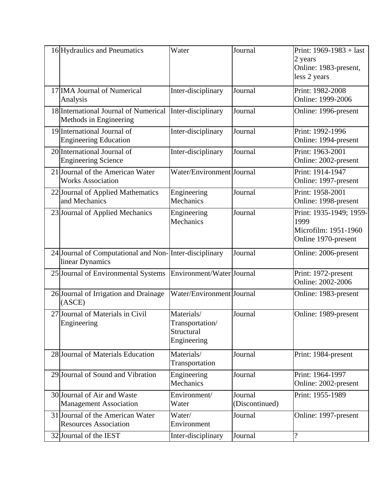| 16 Hydraulics and Pneumatics                                              | Water                                                      | Journal                   | Print: $1969-1983 +$ last<br>2 years<br>Online: 1983-present,<br>less 2 years  |
|---------------------------------------------------------------------------|------------------------------------------------------------|---------------------------|--------------------------------------------------------------------------------|
| 17 IMA Journal of Numerical<br>Analysis                                   | Inter-disciplinary                                         | Journal                   | Print: 1982-2008<br>Online: 1999-2006                                          |
| 18 International Journal of Numerical<br>Methods in Engineering           | Inter-disciplinary                                         | Journal                   | Online: 1996-present                                                           |
| 19 International Journal of<br><b>Engineering Education</b>               | Inter-disciplinary                                         | Journal                   | Print: 1992-1996<br>Online: 1994-present                                       |
| 20 International Journal of<br><b>Engineering Science</b>                 | Inter-disciplinary                                         | Journal                   | Print: 1963-2001<br>Online: 2002-present                                       |
| 21 Journal of the American Water<br><b>Works Association</b>              | Water/Environment Journal                                  |                           | Print: 1914-1947<br>Online: 1997-present                                       |
| 22 Journal of Applied Mathematics<br>and Mechanics                        | Engineering<br>Mechanics                                   | Journal                   | Print: 1958-2001<br>Online: 1998-present                                       |
| 23 Journal of Applied Mechanics                                           | Engineering<br>Mechanics                                   | Journal                   | Print: 1935-1949; 1959-<br>1999<br>Microfilm: 1951-1960<br>Online 1970-present |
| 24 Journal of Computational and Non-Inter-disciplinary<br>linear Dynamics |                                                            | Journal                   | Online: 2006-present                                                           |
| 25 Journal of Environmental Systems                                       | Environment/Water Journal                                  |                           | Print: 1972-present<br>Online: 2002-2006                                       |
| 26 Journal of Irrigation and Drainage<br>(ASEE)                           | Water/Environment Journal                                  |                           | Online: 1983-present                                                           |
| 27 Journal of Materials in Civil<br>Engineering                           | Materials/<br>Transportation/<br>Structural<br>Engineering | Journal                   | Online: 1989-present                                                           |
| 28 Journal of Materials Education                                         | Materials/<br>Transportation                               | Journal                   | Print: 1984-present                                                            |
| 29 Journal of Sound and Vibration                                         | Engineering<br>Mechanics                                   | Journal                   | Print: 1964-1997<br>Online: 2002-present                                       |
| 30 Journal of Air and Waste<br><b>Management Association</b>              | Environment/<br>Water                                      | Journal<br>(Discontinued) | Print: 1955-1989                                                               |
| 31 Journal of the American Water<br><b>Resources Association</b>          | Water/<br>Environment                                      | Journal                   | Online: 1997-present                                                           |
| 32 Journal of the IEST                                                    | Inter-disciplinary                                         | Journal                   | $\overline{\mathcal{L}}$                                                       |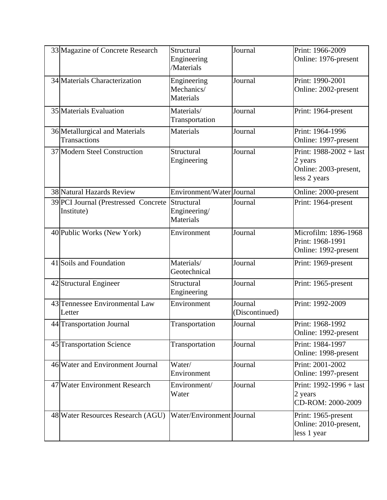| 33 Magazine of Concrete Research                   | Structural<br>Engineering<br>/Materials        | Journal                   | Print: 1966-2009<br>Online: 1976-present                                      |
|----------------------------------------------------|------------------------------------------------|---------------------------|-------------------------------------------------------------------------------|
| 34 Materials Characterization                      | Engineering<br>Mechanics/<br><b>Materials</b>  | Journal                   | Print: 1990-2001<br>Online: 2002-present                                      |
| 35 Materials Evaluation                            | Materials/<br>Transportation                   | Journal                   | Print: 1964-present                                                           |
| 36 Metallurgical and Materials<br>Transactions     | <b>Materials</b>                               | Journal                   | Print: 1964-1996<br>Online: 1997-present                                      |
| 37 Modern Steel Construction                       | Structural<br>Engineering                      | Journal                   | Print: $1988-2002 +$ last<br>2 years<br>Online: 2003-present,<br>less 2 years |
| 38 Natural Hazards Review                          | Environment/Water Journal                      |                           | Online: 2000-present                                                          |
| 39 PCI Journal (Prestressed Concrete<br>Institute) | Structural<br>Engineering/<br><b>Materials</b> | Journal                   | Print: 1964-present                                                           |
| 40 Public Works (New York)                         | Environment                                    | Journal                   | Microfilm: 1896-1968<br>Print: 1968-1991<br>Online: 1992-present              |
| 41 Soils and Foundation                            | Materials/<br>Geotechnical                     | Journal                   | Print: 1969-present                                                           |
| 42 Structural Engineer                             | Structural<br>Engineering                      | Journal                   | Print: 1965-present                                                           |
| 43 Tennessee Environmental Law<br>Letter           | Environment                                    | Journal<br>(Discontinued) | Print: 1992-2009                                                              |
| 44 Transportation Journal                          | Transportation                                 | Journal                   | Print: 1968-1992<br>Online: 1992-present                                      |
| 45 Transportation Science                          | Transportation                                 | Journal                   | Print: 1984-1997<br>Online: 1998-present                                      |
| 46 Water and Environment Journal                   | Water/<br>Environment                          | Journal                   | Print: 2001-2002<br>Online: 1997-present                                      |
| 47 Water Environment Research                      | Environment/<br>Water                          | Journal                   | Print: 1992-1996 + last<br>2 years<br>CD-ROM: 2000-2009                       |
| 48 Water Resources Research (AGU)                  | Water/Environment Journal                      |                           | Print: 1965-present<br>Online: 2010-present,<br>less 1 year                   |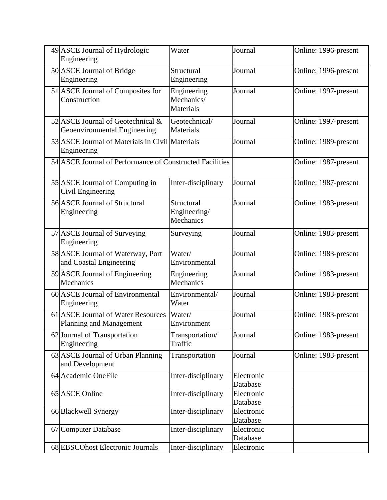| 49 ASCE Journal of Hydrologic<br>Engineering                      | Water                                         | Journal                | Online: 1996-present |
|-------------------------------------------------------------------|-----------------------------------------------|------------------------|----------------------|
| 50 ASCE Journal of Bridge<br>Engineering                          | Structural<br>Engineering                     | Journal                | Online: 1996-present |
| 51 ASCE Journal of Composites for<br>Construction                 | Engineering<br>Mechanics/<br><b>Materials</b> | Journal                | Online: 1997-present |
| 52 ASCE Journal of Geotechnical &<br>Geoenvironmental Engineering | Geotechnical/<br>Materials                    | Journal                | Online: 1997-present |
| 53 ASCE Journal of Materials in Civil Materials<br>Engineering    |                                               | Journal                | Online: 1989-present |
| 54 ASCE Journal of Performance of Constructed Facilities          |                                               |                        | Online: 1987-present |
| 55 ASCE Journal of Computing in<br>Civil Engineering              | Inter-disciplinary                            | Journal                | Online: 1987-present |
| 56 ASCE Journal of Structural<br>Engineering                      | Structural<br>Engineering/<br>Mechanics       | Journal                | Online: 1983-present |
| 57 ASCE Journal of Surveying<br>Engineering                       | Surveying                                     | Journal                | Online: 1983-present |
| 58 ASCE Journal of Waterway, Port<br>and Coastal Engineering      | Water/<br>Environmental                       | Journal                | Online: 1983-present |
| 59 ASCE Journal of Engineering<br>Mechanics                       | Engineering<br>Mechanics                      | Journal                | Online: 1983-present |
| 60 ASCE Journal of Environmental<br>Engineering                   | Environmental/<br>Water                       | Journal                | Online: 1983-present |
| 61 ASCE Journal of Water Resources<br>Planning and Management     | Water/<br>Environment                         | Journal                | Online: 1983-present |
| 62 Journal of Transportation<br>Engineering                       | Transportation/<br>Traffic                    | Journal                | Online: 1983-present |
| 63 ASCE Journal of Urban Planning<br>and Development              | Transportation                                | Journal                | Online: 1983-present |
| 64 Academic OneFile                                               | Inter-disciplinary                            | Electronic<br>Database |                      |
| 65 ASCE Online                                                    | Inter-disciplinary                            | Electronic<br>Database |                      |
| 66 Blackwell Synergy                                              | Inter-disciplinary                            | Electronic<br>Database |                      |
| 67 Computer Database                                              | Inter-disciplinary                            | Electronic<br>Database |                      |
| 68 EBSCOhost Electronic Journals                                  | Inter-disciplinary                            | Electronic             |                      |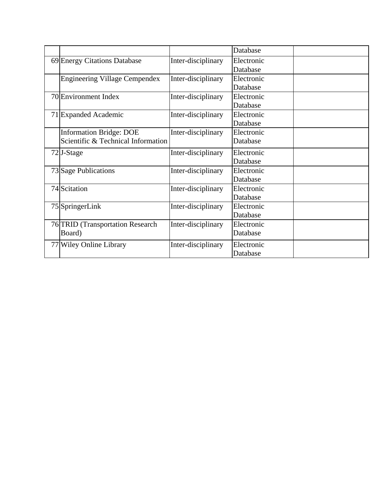|                                      |                    | Database   |  |
|--------------------------------------|--------------------|------------|--|
| 69 Energy Citations Database         | Inter-disciplinary | Electronic |  |
|                                      |                    | Database   |  |
| <b>Engineering Village Cempendex</b> | Inter-disciplinary | Electronic |  |
|                                      |                    | Database   |  |
| 70 Environment Index                 | Inter-disciplinary | Electronic |  |
|                                      |                    | Database   |  |
| 71 Expanded Academic                 | Inter-disciplinary | Electronic |  |
|                                      |                    | Database   |  |
| <b>Information Bridge: DOE</b>       | Inter-disciplinary | Electronic |  |
| Scientific & Technical Information   |                    | Database   |  |
| $72$ J-Stage                         | Inter-disciplinary | Electronic |  |
|                                      |                    | Database   |  |
| 73 Sage Publications                 | Inter-disciplinary | Electronic |  |
|                                      |                    | Database   |  |
| 74 Scitation                         | Inter-disciplinary | Electronic |  |
|                                      |                    | Database   |  |
| 75 SpringerLink                      | Inter-disciplinary | Electronic |  |
|                                      |                    | Database   |  |
| 76 TRID (Transportation Research     | Inter-disciplinary | Electronic |  |
| Board)                               |                    | Database   |  |
| 77 Wiley Online Library              | Inter-disciplinary | Electronic |  |
|                                      |                    | Database   |  |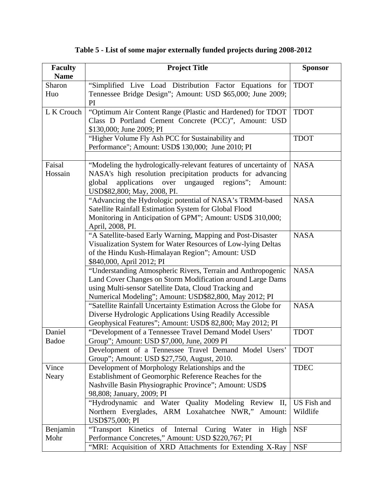| <b>Faculty</b><br><b>Name</b> | <b>Project Title</b>                                                                                                                                                                                                                          | <b>Sponsor</b>          |
|-------------------------------|-----------------------------------------------------------------------------------------------------------------------------------------------------------------------------------------------------------------------------------------------|-------------------------|
| Sharon<br>Huo                 | "Simplified Live Load Distribution Factor Equations for<br>Tennessee Bridge Design"; Amount: USD \$65,000; June 2009;<br>PI                                                                                                                   | <b>TDOT</b>             |
| L K Crouch                    | "Optimum Air Content Range (Plastic and Hardened) for TDOT<br>Class D Portland Cement Concrete (PCC)", Amount: USD<br>\$130,000; June 2009; PI                                                                                                | <b>TDOT</b>             |
|                               | "Higher Volume Fly Ash PCC for Sustainability and<br>Performance"; Amount: USD\$ 130,000; June 2010; PI                                                                                                                                       | <b>TDOT</b>             |
| Faisal<br>Hossain             | "Modeling the hydrologically-relevant features of uncertainty of<br>NASA's high resolution precipitation products for advancing<br>applications<br>over ungauged regions";<br>global<br>Amount:<br>USD\$82,800; May, 2008, PI.                | <b>NASA</b>             |
|                               | "Advancing the Hydrologic potential of NASA's TRMM-based<br>Satellite Rainfall Estimation System for Global Flood<br>Monitoring in Anticipation of GPM"; Amount: USD\$ 310,000;<br>April, 2008, PI.                                           | <b>NASA</b>             |
|                               | "A Satellite-based Early Warning, Mapping and Post-Disaster<br>Visualization System for Water Resources of Low-lying Deltas<br>of the Hindu Kush-Himalayan Region"; Amount: USD<br>\$840,000, April 2012; PI                                  | <b>NASA</b>             |
|                               | "Understanding Atmospheric Rivers, Terrain and Anthropogenic<br>Land Cover Changes on Storm Modification around Large Dams<br>using Multi-sensor Satellite Data, Cloud Tracking and<br>Numerical Modeling"; Amount: USD\$82,800, May 2012; PI | <b>NASA</b>             |
|                               | "Satellite Rainfall Uncertainty Estimation Across the Globe for<br>Diverse Hydrologic Applications Using Readily Accessible<br>Geophysical Features"; Amount: USD\$ 82,800; May 2012; PI                                                      | <b>NASA</b>             |
| Daniel<br><b>Badoe</b>        | "Development of a Tennessee Travel Demand Model Users'<br>Group"; Amount: USD \$7,000, June, 2009 PI                                                                                                                                          | <b>TDOT</b>             |
|                               | Development of a Tennessee Travel Demand Model Users'<br>Group"; Amount: USD \$27,750, August, 2010.                                                                                                                                          | <b>TDOT</b>             |
| Vince<br>Neary                | Development of Morphology Relationships and the<br>Establishment of Geomorphic Reference Reaches for the<br>Nashville Basin Physiographic Province"; Amount: USD\$<br>98,808; January, 2009; PI                                               | <b>TDEC</b>             |
|                               | "Hydrodynamic and Water Quality Modeling Review II,<br>Northern Everglades, ARM Loxahatchee NWR," Amount:<br>USD\$75,000; PI                                                                                                                  | US Fish and<br>Wildlife |
| Benjamin<br>Mohr              | "Transport Kinetics of Internal Curing Water in High<br>Performance Concretes," Amount: USD \$220,767; PI                                                                                                                                     | <b>NSF</b>              |
|                               | "MRI: Acquisition of XRD Attachments for Extending X-Ray   NSF                                                                                                                                                                                |                         |

## **Table 5 - List of some major externally funded projects during 2008-2012**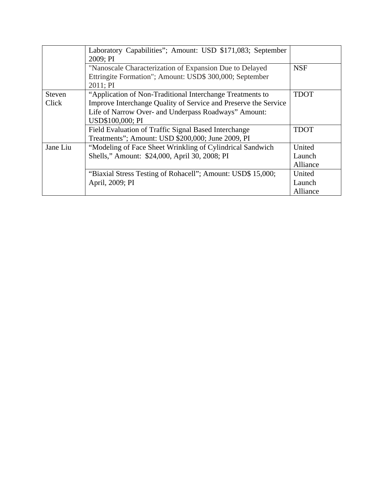|          | Laboratory Capabilities"; Amount: USD \$171,083; September      |             |
|----------|-----------------------------------------------------------------|-------------|
|          | 2009; PI                                                        |             |
|          | "Nanoscale Characterization of Expansion Due to Delayed         | <b>NSF</b>  |
|          | Ettringite Formation"; Amount: USD\$ 300,000; September         |             |
|          | 2011; PI                                                        |             |
| Steven   | "Application of Non-Traditional Interchange Treatments to       | <b>TDOT</b> |
| Click    | Improve Interchange Quality of Service and Preserve the Service |             |
|          | Life of Narrow Over- and Underpass Roadways" Amount:            |             |
|          | USD\$100,000; PI                                                |             |
|          | Field Evaluation of Traffic Signal Based Interchange            | <b>TDOT</b> |
|          | Treatments"; Amount: USD \$200,000; June 2009, PI               |             |
| Jane Liu | "Modeling of Face Sheet Wrinkling of Cylindrical Sandwich       | United      |
|          | Shells," Amount: \$24,000, April 30, 2008; PI                   | Launch      |
|          |                                                                 | Alliance    |
|          | "Biaxial Stress Testing of Rohacell"; Amount: USD\$ 15,000;     | United      |
|          | April, 2009; PI                                                 | Launch      |
|          |                                                                 | Alliance    |